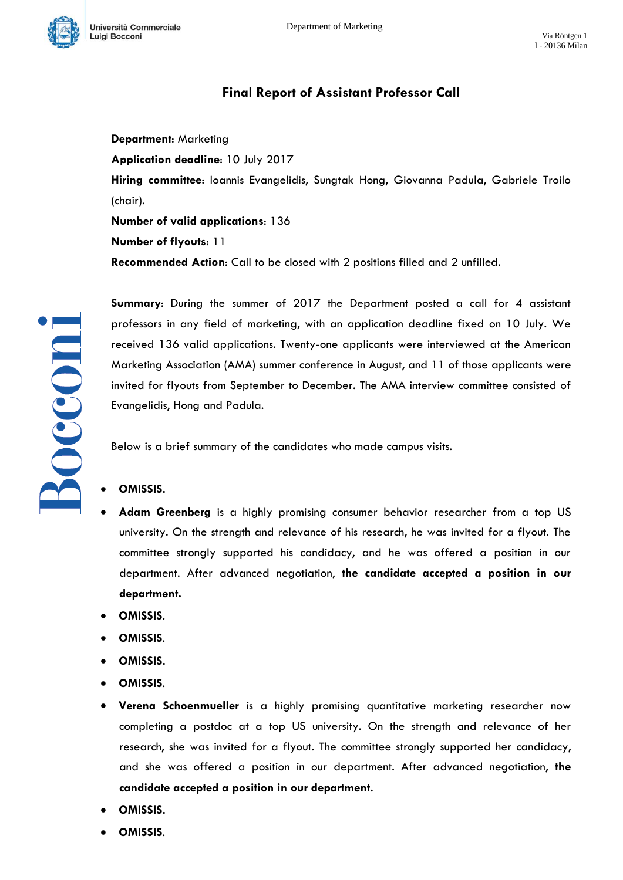

## **Final Report of Assistant Professor Call**

**Department**: Marketing

**Application deadline**: 10 July 2017

**Hiring committee**: Ioannis Evangelidis, Sungtak Hong, Giovanna Padula, Gabriele Troilo (chair).

**Number of valid applications**: 136

**Number of flyouts**: 11

**Recommended Action**: Call to be closed with 2 positions filled and 2 unfilled.

**Summary**: During the summer of 2017 the Department posted a call for 4 assistant professors in any field of marketing, with an application deadline fixed on 10 July. We received 136 valid applications. Twenty-one applicants were interviewed at the American Marketing Association (AMA) summer conference in August, and 11 of those applicants were invited for flyouts from September to December. The AMA interview committee consisted of Evangelidis, Hong and Padula.

Below is a brief summary of the candidates who made campus visits.

- **OMISSIS.**
- **Adam Greenberg** is a highly promising consumer behavior researcher from a top US university. On the strength and relevance of his research, he was invited for a flyout. The committee strongly supported his candidacy, and he was offered a position in our department. After advanced negotiation, **the candidate accepted a position in our department.**
- **OMISSIS**.
- **OMISSIS**.
- **OMISSIS.**
- **OMISSIS**.
- **Verena Schoenmueller** is a highly promising quantitative marketing researcher now completing a postdoc at a top US university. On the strength and relevance of her research, she was invited for a flyout. The committee strongly supported her candidacy, and she was offered a position in our department. After advanced negotiation, **the candidate accepted a position in our department.**
- **OMISSIS.**
- **OMISSIS**.